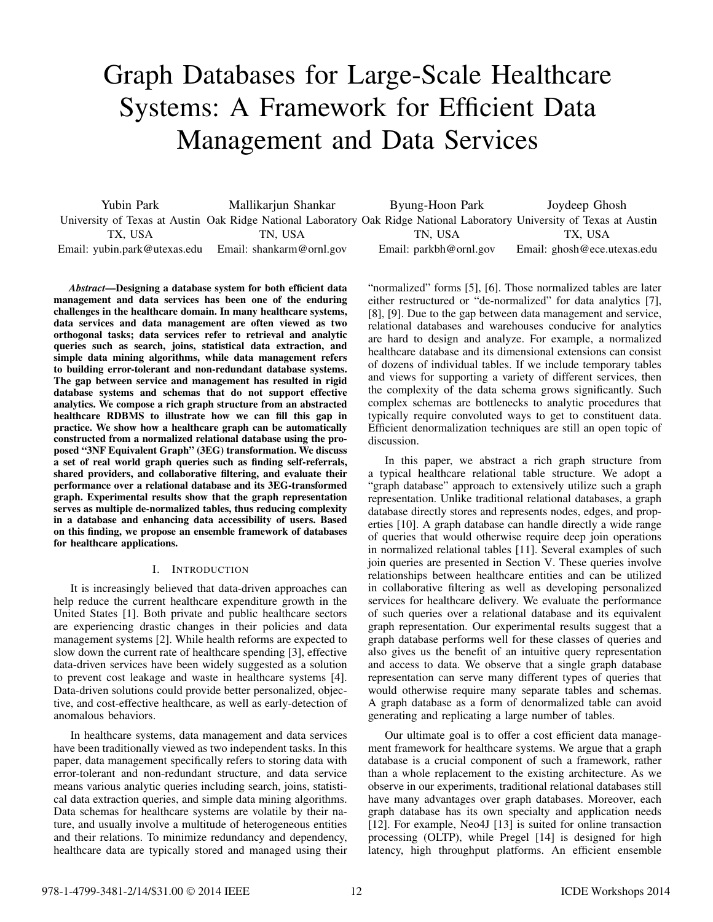# Graph Databases for Large-Scale Healthcare Systems: A Framework for Efficient Data Management and Data Services

Yubin Park University of Texas at Austin Oak Ridge National Laboratory Oak Ridge National Laboratory University of Texas at Austin TX, USA Email: yubin.park@utexas.edu Email: shankarm@ornl.gov Mallikarjun Shankar TN, USA Byung-Hoon Park TN, USA Email: parkbh@ornl.gov Joydeep Ghosh TX, USA Email: ghosh@ece.utexas.edu

*Abstract*—Designing a database system for both efficient data management and data services has been one of the enduring challenges in the healthcare domain. In many healthcare systems, data services and data management are often viewed as two orthogonal tasks; data services refer to retrieval and analytic queries such as search, joins, statistical data extraction, and simple data mining algorithms, while data management refers to building error-tolerant and non-redundant database systems. The gap between service and management has resulted in rigid database systems and schemas that do not support effective analytics. We compose a rich graph structure from an abstracted healthcare RDBMS to illustrate how we can fill this gap in practice. We show how a healthcare graph can be automatically constructed from a normalized relational database using the proposed "3NF Equivalent Graph" (3EG) transformation. We discuss a set of real world graph queries such as finding self-referrals, shared providers, and collaborative filtering, and evaluate their performance over a relational database and its 3EG-transformed graph. Experimental results show that the graph representation serves as multiple de-normalized tables, thus reducing complexity in a database and enhancing data accessibility of users. Based on this finding, we propose an ensemble framework of databases for healthcare applications.

### I. INTRODUCTION

It is increasingly believed that data-driven approaches can help reduce the current healthcare expenditure growth in the United States [1]. Both private and public healthcare sectors are experiencing drastic changes in their policies and data management systems [2]. While health reforms are expected to slow down the current rate of healthcare spending [3], effective data-driven services have been widely suggested as a solution to prevent cost leakage and waste in healthcare systems [4]. Data-driven solutions could provide better personalized, objective, and cost-effective healthcare, as well as early-detection of anomalous behaviors.

In healthcare systems, data management and data services have been traditionally viewed as two independent tasks. In this paper, data management specifically refers to storing data with error-tolerant and non-redundant structure, and data service means various analytic queries including search, joins, statistical data extraction queries, and simple data mining algorithms. Data schemas for healthcare systems are volatile by their nature, and usually involve a multitude of heterogeneous entities and their relations. To minimize redundancy and dependency, healthcare data are typically stored and managed using their "normalized" forms [5], [6]. Those normalized tables are later either restructured or "de-normalized" for data analytics [7], [8], [9]. Due to the gap between data management and service, relational databases and warehouses conducive for analytics are hard to design and analyze. For example, a normalized healthcare database and its dimensional extensions can consist of dozens of individual tables. If we include temporary tables and views for supporting a variety of different services, then the complexity of the data schema grows significantly. Such complex schemas are bottlenecks to analytic procedures that typically require convoluted ways to get to constituent data. Efficient denormalization techniques are still an open topic of discussion.

In this paper, we abstract a rich graph structure from a typical healthcare relational table structure. We adopt a "graph database" approach to extensively utilize such a graph representation. Unlike traditional relational databases, a graph database directly stores and represents nodes, edges, and properties [10]. A graph database can handle directly a wide range of queries that would otherwise require deep join operations in normalized relational tables [11]. Several examples of such join queries are presented in Section V. These queries involve relationships between healthcare entities and can be utilized in collaborative filtering as well as developing personalized services for healthcare delivery. We evaluate the performance of such queries over a relational database and its equivalent graph representation. Our experimental results suggest that a graph database performs well for these classes of queries and also gives us the benefit of an intuitive query representation and access to data. We observe that a single graph database representation can serve many different types of queries that would otherwise require many separate tables and schemas. A graph database as a form of denormalized table can avoid generating and replicating a large number of tables.

Our ultimate goal is to offer a cost efficient data management framework for healthcare systems. We argue that a graph database is a crucial component of such a framework, rather than a whole replacement to the existing architecture. As we observe in our experiments, traditional relational databases still have many advantages over graph databases. Moreover, each graph database has its own specialty and application needs [12]. For example, Neo4J [13] is suited for online transaction processing (OLTP), while Pregel [14] is designed for high latency, high throughput platforms. An efficient ensemble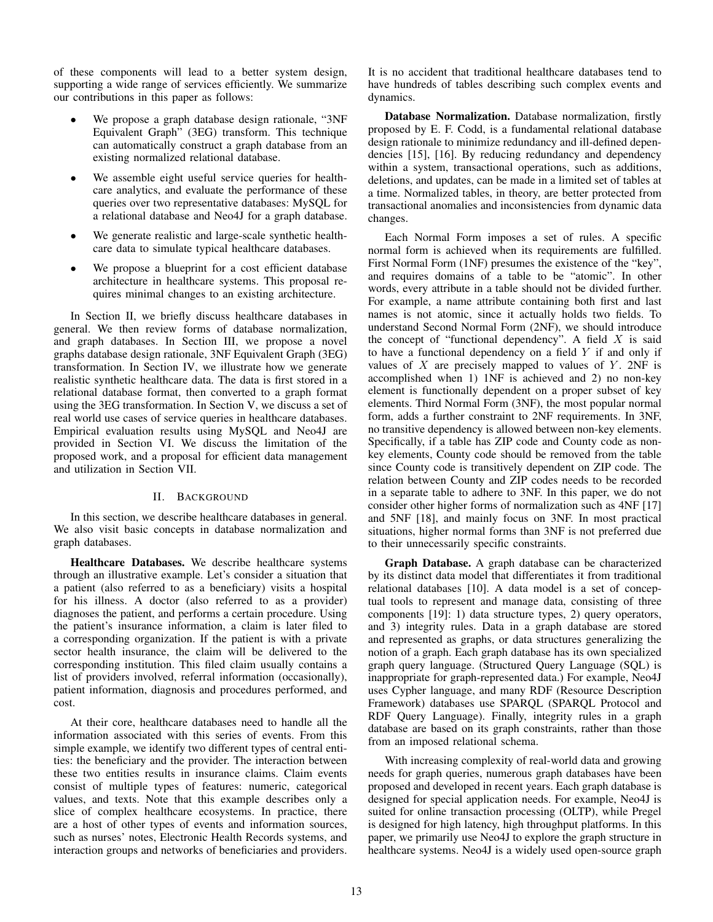of these components will lead to a better system design, supporting a wide range of services efficiently. We summarize our contributions in this paper as follows:

- We propose a graph database design rationale, "3NF Equivalent Graph" (3EG) transform. This technique can automatically construct a graph database from an existing normalized relational database.
- We assemble eight useful service queries for healthcare analytics, and evaluate the performance of these queries over two representative databases: MySQL for a relational database and Neo4J for a graph database.
- We generate realistic and large-scale synthetic healthcare data to simulate typical healthcare databases.
- We propose a blueprint for a cost efficient database architecture in healthcare systems. This proposal requires minimal changes to an existing architecture.

In Section II, we briefly discuss healthcare databases in general. We then review forms of database normalization, and graph databases. In Section III, we propose a novel graphs database design rationale, 3NF Equivalent Graph (3EG) transformation. In Section IV, we illustrate how we generate realistic synthetic healthcare data. The data is first stored in a relational database format, then converted to a graph format using the 3EG transformation. In Section V, we discuss a set of real world use cases of service queries in healthcare databases. Empirical evaluation results using MySQL and Neo4J are provided in Section VI. We discuss the limitation of the proposed work, and a proposal for efficient data management and utilization in Section VII.

### II. BACKGROUND

In this section, we describe healthcare databases in general. We also visit basic concepts in database normalization and graph databases.

Healthcare Databases. We describe healthcare systems through an illustrative example. Let's consider a situation that a patient (also referred to as a beneficiary) visits a hospital for his illness. A doctor (also referred to as a provider) diagnoses the patient, and performs a certain procedure. Using the patient's insurance information, a claim is later filed to a corresponding organization. If the patient is with a private sector health insurance, the claim will be delivered to the corresponding institution. This filed claim usually contains a list of providers involved, referral information (occasionally), patient information, diagnosis and procedures performed, and cost.

At their core, healthcare databases need to handle all the information associated with this series of events. From this simple example, we identify two different types of central entities: the beneficiary and the provider. The interaction between these two entities results in insurance claims. Claim events consist of multiple types of features: numeric, categorical values, and texts. Note that this example describes only a slice of complex healthcare ecosystems. In practice, there are a host of other types of events and information sources, such as nurses' notes, Electronic Health Records systems, and interaction groups and networks of beneficiaries and providers.

It is no accident that traditional healthcare databases tend to have hundreds of tables describing such complex events and dynamics.

Database Normalization. Database normalization, firstly proposed by E. F. Codd, is a fundamental relational database design rationale to minimize redundancy and ill-defined dependencies [15], [16]. By reducing redundancy and dependency within a system, transactional operations, such as additions, deletions, and updates, can be made in a limited set of tables at a time. Normalized tables, in theory, are better protected from transactional anomalies and inconsistencies from dynamic data changes.

Each Normal Form imposes a set of rules. A specific normal form is achieved when its requirements are fulfilled. First Normal Form (1NF) presumes the existence of the "key", and requires domains of a table to be "atomic". In other words, every attribute in a table should not be divided further. For example, a name attribute containing both first and last names is not atomic, since it actually holds two fields. To understand Second Normal Form (2NF), we should introduce the concept of "functional dependency". A field  $X$  is said to have a functional dependency on a field  $Y$  if and only if values of  $X$  are precisely mapped to values of  $Y$ . 2NF is accomplished when 1) 1NF is achieved and 2) no non-key element is functionally dependent on a proper subset of key elements. Third Normal Form (3NF), the most popular normal form, adds a further constraint to 2NF requirements. In 3NF, no transitive dependency is allowed between non-key elements. Specifically, if a table has ZIP code and County code as nonkey elements, County code should be removed from the table since County code is transitively dependent on ZIP code. The relation between County and ZIP codes needs to be recorded in a separate table to adhere to 3NF. In this paper, we do not consider other higher forms of normalization such as 4NF [17] and 5NF [18], and mainly focus on 3NF. In most practical situations, higher normal forms than 3NF is not preferred due to their unnecessarily specific constraints.

Graph Database. A graph database can be characterized by its distinct data model that differentiates it from traditional relational databases [10]. A data model is a set of conceptual tools to represent and manage data, consisting of three components [19]: 1) data structure types, 2) query operators, and 3) integrity rules. Data in a graph database are stored and represented as graphs, or data structures generalizing the notion of a graph. Each graph database has its own specialized graph query language. (Structured Query Language (SQL) is inappropriate for graph-represented data.) For example, Neo4J uses Cypher language, and many RDF (Resource Description Framework) databases use SPARQL (SPARQL Protocol and RDF Query Language). Finally, integrity rules in a graph database are based on its graph constraints, rather than those from an imposed relational schema.

With increasing complexity of real-world data and growing needs for graph queries, numerous graph databases have been proposed and developed in recent years. Each graph database is designed for special application needs. For example, Neo4J is suited for online transaction processing (OLTP), while Pregel is designed for high latency, high throughput platforms. In this paper, we primarily use Neo4J to explore the graph structure in healthcare systems. Neo4J is a widely used open-source graph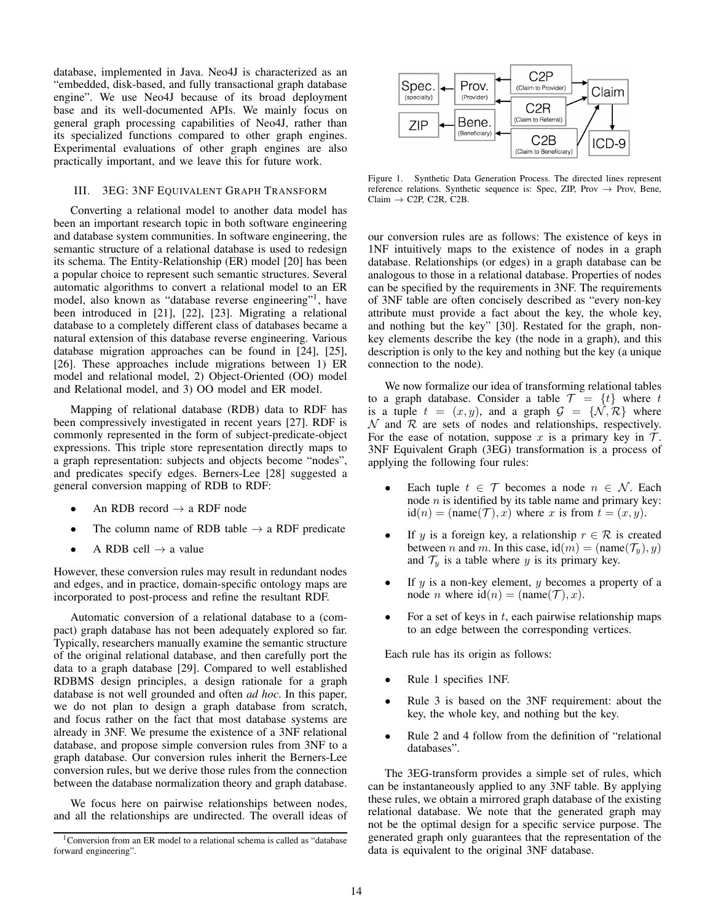database, implemented in Java. Neo4J is characterized as an "embedded, disk-based, and fully transactional graph database engine". We use Neo4J because of its broad deployment base and its well-documented APIs. We mainly focus on general graph processing capabilities of Neo4J, rather than its specialized functions compared to other graph engines. Experimental evaluations of other graph engines are also practically important, and we leave this for future work.

## III. 3EG: 3NF EQUIVALENT GRAPH TRANSFORM

Converting a relational model to another data model has been an important research topic in both software engineering and database system communities. In software engineering, the semantic structure of a relational database is used to redesign its schema. The Entity-Relationship (ER) model [20] has been a popular choice to represent such semantic structures. Several automatic algorithms to convert a relational model to an ER model, also known as "database reverse engineering"<sup>1</sup>, have been introduced in [21], [22], [23]. Migrating a relational database to a completely different class of databases became a natural extension of this database reverse engineering. Various database migration approaches can be found in [24], [25], [26]. These approaches include migrations between 1) ER model and relational model, 2) Object-Oriented (OO) model and Relational model, and 3) OO model and ER model.

Mapping of relational database (RDB) data to RDF has been compressively investigated in recent years [27]. RDF is commonly represented in the form of subject-predicate-object expressions. This triple store representation directly maps to a graph representation: subjects and objects become "nodes", and predicates specify edges. Berners-Lee [28] suggested a general conversion mapping of RDB to RDF:

- An RDB record  $\rightarrow$  a RDF node
- The column name of RDB table  $\rightarrow$  a RDF predicate
- A RDB cell  $\rightarrow$  a value

However, these conversion rules may result in redundant nodes and edges, and in practice, domain-specific ontology maps are incorporated to post-process and refine the resultant RDF.

Automatic conversion of a relational database to a (compact) graph database has not been adequately explored so far. Typically, researchers manually examine the semantic structure of the original relational database, and then carefully port the data to a graph database [29]. Compared to well established RDBMS design principles, a design rationale for a graph database is not well grounded and often *ad hoc*. In this paper, we do not plan to design a graph database from scratch, and focus rather on the fact that most database systems are already in 3NF. We presume the existence of a 3NF relational database, and propose simple conversion rules from 3NF to a graph database. Our conversion rules inherit the Berners-Lee conversion rules, but we derive those rules from the connection between the database normalization theory and graph database.

We focus here on pairwise relationships between nodes, and all the relationships are undirected. The overall ideas of



Figure 1. Synthetic Data Generation Process. The directed lines represent reference relations. Synthetic sequence is: Spec, ZIP, Prov  $\rightarrow$  Prov, Bene, Claim  $\rightarrow$  C2P, C2R, C2B.

our conversion rules are as follows: The existence of keys in 1NF intuitively maps to the existence of nodes in a graph database. Relationships (or edges) in a graph database can be analogous to those in a relational database. Properties of nodes can be specified by the requirements in 3NF. The requirements of 3NF table are often concisely described as "every non-key attribute must provide a fact about the key, the whole key, and nothing but the key" [30]. Restated for the graph, nonkey elements describe the key (the node in a graph), and this description is only to the key and nothing but the key (a unique connection to the node).

We now formalize our idea of transforming relational tables to a graph database. Consider a table  $\mathcal{T} = \{t\}$  where t is a tuple  $t = (x, y)$ , and a graph  $\mathcal{G} = \{ \mathcal{N}, \mathcal{R} \}$  where  $\mathcal N$  and  $\mathcal R$  are sets of nodes and relationships, respectively. For the ease of notation, suppose x is a primary key in  $\mathcal{T}$ . 3NF Equivalent Graph (3EG) transformation is a process of applying the following four rules:

- Each tuple  $t \in \mathcal{T}$  becomes a node  $n \in \mathcal{N}$ . Each node  $n$  is identified by its table name and primary key:  $id(n) = (name(\mathcal{T}), x)$  where x is from  $t = (x, y)$ .
- If y is a foreign key, a relationship  $r \in \mathcal{R}$  is created between n and m. In this case,  $id(m) = (name(\mathcal{T}_y), y)$ and  $\mathcal{T}_y$  is a table where y is its primary key.
- If  $y$  is a non-key element,  $y$  becomes a property of a node *n* where  $id(n) = (name(\mathcal{T}), x)$ .
- For a set of keys in  $t$ , each pairwise relationship maps to an edge between the corresponding vertices.

Each rule has its origin as follows:

- Rule 1 specifies 1NF.
- Rule 3 is based on the 3NF requirement: about the key, the whole key, and nothing but the key.
- Rule 2 and 4 follow from the definition of "relational databases".

The 3EG-transform provides a simple set of rules, which can be instantaneously applied to any 3NF table. By applying these rules, we obtain a mirrored graph database of the existing relational database. We note that the generated graph may not be the optimal design for a specific service purpose. The generated graph only guarantees that the representation of the data is equivalent to the original 3NF database.

<sup>&</sup>lt;sup>1</sup>Conversion from an ER model to a relational schema is called as "database" forward engineering".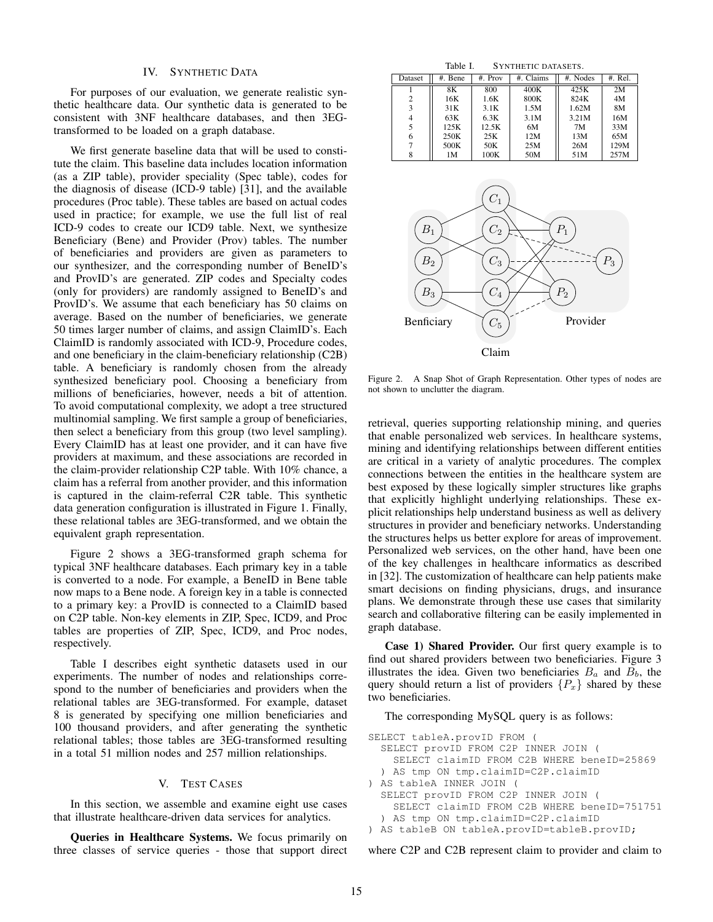#### IV. SYNTHETIC DATA

For purposes of our evaluation, we generate realistic synthetic healthcare data. Our synthetic data is generated to be consistent with 3NF healthcare databases, and then 3EGtransformed to be loaded on a graph database.

We first generate baseline data that will be used to constitute the claim. This baseline data includes location information (as a ZIP table), provider speciality (Spec table), codes for the diagnosis of disease (ICD-9 table) [31], and the available procedures (Proc table). These tables are based on actual codes used in practice; for example, we use the full list of real ICD-9 codes to create our ICD9 table. Next, we synthesize Beneficiary (Bene) and Provider (Prov) tables. The number of beneficiaries and providers are given as parameters to our synthesizer, and the corresponding number of BeneID's and ProvID's are generated. ZIP codes and Specialty codes (only for providers) are randomly assigned to BeneID's and ProvID's. We assume that each beneficiary has 50 claims on average. Based on the number of beneficiaries, we generate 50 times larger number of claims, and assign ClaimID's. Each ClaimID is randomly associated with ICD-9, Procedure codes, and one beneficiary in the claim-beneficiary relationship (C2B) table. A beneficiary is randomly chosen from the already synthesized beneficiary pool. Choosing a beneficiary from millions of beneficiaries, however, needs a bit of attention. To avoid computational complexity, we adopt a tree structured multinomial sampling. We first sample a group of beneficiaries, then select a beneficiary from this group (two level sampling). Every ClaimID has at least one provider, and it can have five providers at maximum, and these associations are recorded in the claim-provider relationship C2P table. With 10% chance, a claim has a referral from another provider, and this information is captured in the claim-referral C2R table. This synthetic data generation configuration is illustrated in Figure 1. Finally, these relational tables are 3EG-transformed, and we obtain the equivalent graph representation.

Figure 2 shows a 3EG-transformed graph schema for typical 3NF healthcare databases. Each primary key in a table is converted to a node. For example, a BeneID in Bene table now maps to a Bene node. A foreign key in a table is connected to a primary key: a ProvID is connected to a ClaimID based on C2P table. Non-key elements in ZIP, Spec, ICD9, and Proc tables are properties of ZIP, Spec, ICD9, and Proc nodes, respectively.

Table I describes eight synthetic datasets used in our experiments. The number of nodes and relationships correspond to the number of beneficiaries and providers when the relational tables are 3EG-transformed. For example, dataset 8 is generated by specifying one million beneficiaries and 100 thousand providers, and after generating the synthetic relational tables; those tables are 3EG-transformed resulting in a total 51 million nodes and 257 million relationships.

#### V. TEST CASES

In this section, we assemble and examine eight use cases that illustrate healthcare-driven data services for analytics.

Queries in Healthcare Systems. We focus primarily on three classes of service queries - those that support direct

| Table I.<br>SYNTHETIC DATASETS.                                                                   |            |             |            |            |         |
|---------------------------------------------------------------------------------------------------|------------|-------------|------------|------------|---------|
| Dataset                                                                                           | #. Bene    | #. Prov     | #. Claims  | #. Nodes   | #. Rel. |
| 1                                                                                                 | 8K         | 800         | 400K       | 425K       | 2M      |
| $\frac{2}{3}$                                                                                     | 16K        | 1.6K        | 800K       | 824K       | 4M      |
|                                                                                                   | 31K        | 3.1K        | 1.5M       | 1.62M      | 8M      |
| $\overline{4}$                                                                                    | 63K        | 6.3K        | 3.1M       | 3.21M      | 16M     |
| $\frac{5}{6}$                                                                                     | 125K       | 12.5K       | 6M         | 7M         | 33M     |
|                                                                                                   | 250K       | 25K         | 12M        | 13M        | 65M     |
| $\overline{7}$<br>8                                                                               | 500K<br>1M | 50K<br>100K | 25M<br>50M | 26M<br>51M | 129M    |
|                                                                                                   |            |             |            |            | 257M    |
| $C_1$<br>$B_1$<br>$C_2$<br>$P_1$<br>B <sub>2</sub><br>$C_3$<br>$P_3$<br>$C_4$<br>$B_3$<br>$P_{2}$ |            |             |            |            |         |
| Benficiary                                                                                        |            | $C_5$       | Provider   |            |         |
|                                                                                                   |            | Claim       |            |            |         |

Figure 2. A Snap Shot of Graph Representation. Other types of nodes are not shown to unclutter the diagram.

retrieval, queries supporting relationship mining, and queries that enable personalized web services. In healthcare systems, mining and identifying relationships between different entities are critical in a variety of analytic procedures. The complex connections between the entities in the healthcare system are best exposed by these logically simpler structures like graphs that explicitly highlight underlying relationships. These explicit relationships help understand business as well as delivery structures in provider and beneficiary networks. Understanding the structures helps us better explore for areas of improvement. Personalized web services, on the other hand, have been one of the key challenges in healthcare informatics as described in [32]. The customization of healthcare can help patients make smart decisions on finding physicians, drugs, and insurance plans. We demonstrate through these use cases that similarity search and collaborative filtering can be easily implemented in graph database.

Case 1) Shared Provider. Our first query example is to find out shared providers between two beneficiaries. Figure 3 illustrates the idea. Given two beneficiaries  $B_a$  and  $B_b$ , the query should return a list of providers  $\{P_x\}$  shared by these two beneficiaries.

The corresponding MySQL query is as follows:

```
SELECT tableA.provID FROM (
 SELECT provID FROM C2P INNER JOIN (
   SELECT claimID FROM C2B WHERE beneID=25869
 ) AS tmp ON tmp.claimID=C2P.claimID
) AS tableA INNER JOIN (
 SELECT provID FROM C2P INNER JOIN (
   SELECT claimID FROM C2B WHERE beneID=751751
 ) AS tmp ON tmp.claimID=C2P.claimID
) AS tableB ON tableA.provID=tableB.provID;
```
where C2P and C2B represent claim to provider and claim to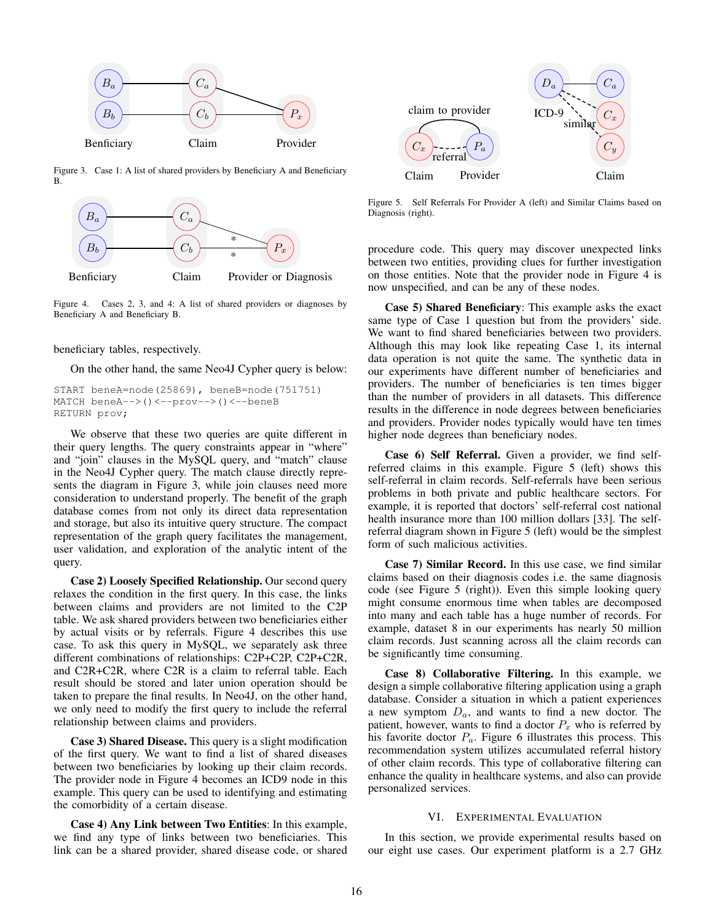

Figure 3. Case 1: A list of shared providers by Beneficiary A and Beneficiary B.



Figure 4. Cases 2, 3, and 4: A list of shared providers or diagnoses by Beneficiary A and Beneficiary B.

beneficiary tables, respectively.

On the other hand, the same Neo4J Cypher query is below:

START beneA=node(25869), beneB=node(751751) MATCH beneA-->()<--prov-->()<--beneB RETURN prov;

We observe that these two queries are quite different in their query lengths. The query constraints appear in "where" and "join" clauses in the MySQL query, and "match" clause in the Neo4J Cypher query. The match clause directly represents the diagram in Figure 3, while join clauses need more consideration to understand properly. The benefit of the graph database comes from not only its direct data representation and storage, but also its intuitive query structure. The compact representation of the graph query facilitates the management, user validation, and exploration of the analytic intent of the query.

Case 2) Loosely Specified Relationship. Our second query relaxes the condition in the first query. In this case, the links between claims and providers are not limited to the C2P table. We ask shared providers between two beneficiaries either by actual visits or by referrals. Figure 4 describes this use case. To ask this query in MySQL, we separately ask three different combinations of relationships: C2P+C2P, C2P+C2R, and C2R+C2R, where C2R is a claim to referral table. Each result should be stored and later union operation should be taken to prepare the final results. In Neo4J, on the other hand, we only need to modify the first query to include the referral relationship between claims and providers.

Case 3) Shared Disease. This query is a slight modification of the first query. We want to find a list of shared diseases between two beneficiaries by looking up their claim records. The provider node in Figure 4 becomes an ICD9 node in this example. This query can be used to identifying and estimating the comorbidity of a certain disease.

Case 4) Any Link between Two Entities: In this example, we find any type of links between two beneficiaries. This link can be a shared provider, shared disease code, or shared



Figure 5. Self Referrals For Provider A (left) and Similar Claims based on Diagnosis (right).

procedure code. This query may discover unexpected links between two entities, providing clues for further investigation on those entities. Note that the provider node in Figure 4 is now unspecified, and can be any of these nodes.

Case 5) Shared Beneficiary: This example asks the exact same type of Case 1 question but from the providers' side. We want to find shared beneficiaries between two providers. Although this may look like repeating Case 1, its internal data operation is not quite the same. The synthetic data in our experiments have different number of beneficiaries and providers. The number of beneficiaries is ten times bigger than the number of providers in all datasets. This difference results in the difference in node degrees between beneficiaries and providers. Provider nodes typically would have ten times higher node degrees than beneficiary nodes.

Case 6) Self Referral. Given a provider, we find selfreferred claims in this example. Figure 5 (left) shows this self-referral in claim records. Self-referrals have been serious problems in both private and public healthcare sectors. For example, it is reported that doctors' self-referral cost national health insurance more than 100 million dollars [33]. The selfreferral diagram shown in Figure 5 (left) would be the simplest form of such malicious activities.

Case 7) Similar Record. In this use case, we find similar claims based on their diagnosis codes i.e. the same diagnosis code (see Figure 5 (right)). Even this simple looking query might consume enormous time when tables are decomposed into many and each table has a huge number of records. For example, dataset 8 in our experiments has nearly 50 million claim records. Just scanning across all the claim records can be significantly time consuming.

Case 8) Collaborative Filtering. In this example, we design a simple collaborative filtering application using a graph database. Consider a situation in which a patient experiences a new symptom  $D_a$ , and wants to find a new doctor. The patient, however, wants to find a doctor  $P_x$  who is referred by his favorite doctor  $P_a$ . Figure 6 illustrates this process. This recommendation system utilizes accumulated referral history of other claim records. This type of collaborative filtering can enhance the quality in healthcare systems, and also can provide personalized services.

#### VI. EXPERIMENTAL EVALUATION

In this section, we provide experimental results based on our eight use cases. Our experiment platform is a 2.7 GHz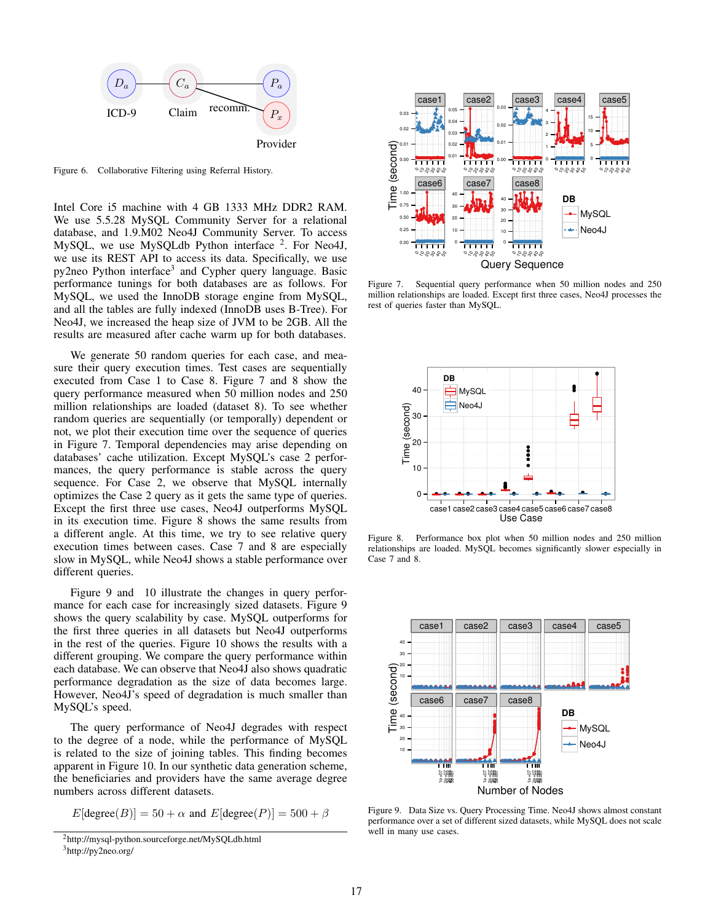

Figure 6. Collaborative Filtering using Referral History.

Intel Core i5 machine with 4 GB 1333 MHz DDR2 RAM. We use 5.5.28 MySQL Community Server for a relational database, and 1.9.M02 Neo4J Community Server. To access MySQL, we use MySQLdb Python interface <sup>2</sup>. For Neo4J, we use its REST API to access its data. Specifically, we use py2neo Python interface<sup>3</sup> and Cypher query language. Basic performance tunings for both databases are as follows. For MySQL, we used the InnoDB storage engine from MySQL, and all the tables are fully indexed (InnoDB uses B-Tree). For Neo4J, we increased the heap size of JVM to be 2GB. All the results are measured after cache warm up for both databases.

We generate 50 random queries for each case, and measure their query execution times. Test cases are sequentially executed from Case 1 to Case 8. Figure 7 and 8 show the query performance measured when 50 million nodes and 250 million relationships are loaded (dataset 8). To see whether random queries are sequentially (or temporally) dependent or not, we plot their execution time over the sequence of queries in Figure 7. Temporal dependencies may arise depending on databases' cache utilization. Except MySQL's case 2 performances, the query performance is stable across the query sequence. For Case 2, we observe that MySQL internally optimizes the Case 2 query as it gets the same type of queries. Except the first three use cases, Neo4J outperforms MySQL in its execution time. Figure 8 shows the same results from a different angle. At this time, we try to see relative query execution times between cases. Case 7 and 8 are especially slow in MySQL, while Neo4J shows a stable performance over different queries.

Figure 9 and 10 illustrate the changes in query performance for each case for increasingly sized datasets. Figure 9 shows the query scalability by case. MySQL outperforms for the first three queries in all datasets but Neo4J outperforms in the rest of the queries. Figure 10 shows the results with a different grouping. We compare the query performance within each database. We can observe that Neo4J also shows quadratic performance degradation as the size of data becomes large. However, Neo4J's speed of degradation is much smaller than MySQL's speed.

The query performance of Neo4J degrades with respect to the degree of a node, while the performance of MySQL is related to the size of joining tables. This finding becomes apparent in Figure 10. In our synthetic data generation scheme, the beneficiaries and providers have the same average degree numbers across different datasets.

 $E[\text{degree}(B)] = 50 + \alpha$  and  $E[\text{degree}(P)] = 500 + \beta$ 



Figure 7. Sequential query performance when 50 million nodes and 250 million relationships are loaded. Except first three cases, Neo4J processes the rest of queries faster than MySQL.



Figure 8. Performance box plot when 50 million nodes and 250 million relationships are loaded. MySQL becomes significantly slower especially in Case 7 and 8.



Figure 9. Data Size vs. Query Processing Time. Neo4J shows almost constant performance over a set of different sized datasets, while MySQL does not scale well in many use cases.

<sup>2</sup>http://mysql-python.sourceforge.net/MySQLdb.html

<sup>3</sup>http://py2neo.org/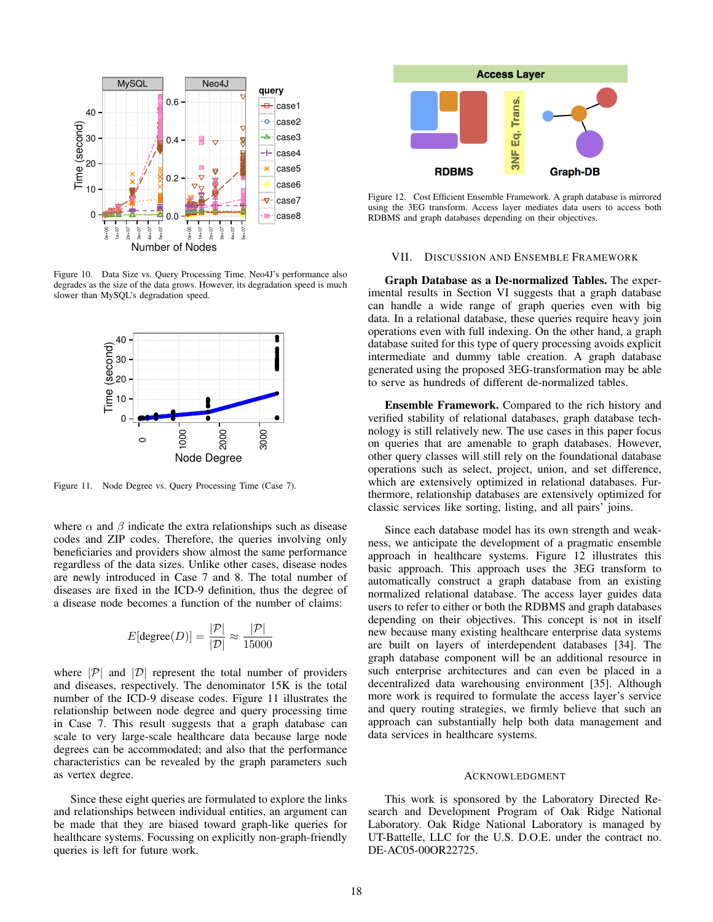

Figure 10. Data Size vs. Query Processing Time. Neo4J's performance also degrades as the size of the data grows. However, its degradation speed is much slower than MySQL's degradation speed.



Figure 11. Node Degree vs. Query Processing Time (Case 7).

where  $\alpha$  and  $\beta$  indicate the extra relationships such as disease codes and ZIP codes. Therefore, the queries involving only beneficiaries and providers show almost the same performance regardless of the data sizes. Unlike other cases, disease nodes are newly introduced in Case 7 and 8. The total number of diseases are fixed in the ICD-9 definition, thus the degree of a disease node becomes a function of the number of claims:

$$
E[\text{degree}(D)] = \frac{|\mathcal{P}|}{|\mathcal{D}|} \approx \frac{|\mathcal{P}|}{15000}
$$

where  $|\mathcal{P}|$  and  $|\mathcal{D}|$  represent the total number of providers and diseases, respectively. The denominator 15K is the total number of the ICD-9 disease codes. Figure 11 illustrates the relationship between node degree and query processing time in Case 7. This result suggests that a graph database can scale to very large-scale healthcare data because large node degrees can be accommodated; and also that the performance characteristics can be revealed by the graph parameters such as vertex degree.

Since these eight queries are formulated to explore the links and relationships between individual entities, an argument can be made that they are biased toward graph-like queries for healthcare systems. Focussing on explicitly non-graph-friendly queries is left for future work.



Figure 12. Cost Efficient Ensemble Framework. A graph database is mirrored using the 3EG transform. Access layer mediates data users to access both RDBMS and graph databases depending on their objectives.

### VII. DISCUSSION AND ENSEMBLE FRAMEWORK

Graph Database as a De-normalized Tables. The experimental results in Section VI suggests that a graph database can handle a wide range of graph queries even with big data. In a relational database, these queries require heavy join operations even with full indexing. On the other hand, a graph database suited for this type of query processing avoids explicit intermediate and dummy table creation. A graph database generated using the proposed 3EG-transformation may be able to serve as hundreds of different de-normalized tables.

Ensemble Framework. Compared to the rich history and verified stability of relational databases, graph database technology is still relatively new. The use cases in this paper focus on queries that are amenable to graph databases. However, other query classes will still rely on the foundational database operations such as select, project, union, and set difference, which are extensively optimized in relational databases. Furthermore, relationship databases are extensively optimized for classic services like sorting, listing, and all pairs' joins.

Since each database model has its own strength and weakness, we anticipate the development of a pragmatic ensemble approach in healthcare systems. Figure 12 illustrates this basic approach. This approach uses the 3EG transform to automatically construct a graph database from an existing normalized relational database. The access layer guides data users to refer to either or both the RDBMS and graph databases depending on their objectives. This concept is not in itself new because many existing healthcare enterprise data systems are built on layers of interdependent databases [34]. The graph database component will be an additional resource in such enterprise architectures and can even be placed in a decentralized data warehousing environment [35]. Although more work is required to formulate the access layer's service and query routing strategies, we firmly believe that such an approach can substantially help both data management and data services in healthcare systems.

#### ACKNOWLEDGMENT

This work is sponsored by the Laboratory Directed Research and Development Program of Oak Ridge National Laboratory. Oak Ridge National Laboratory is managed by UT-Battelle, LLC for the U.S. D.O.E. under the contract no. DE-AC05-00OR22725.